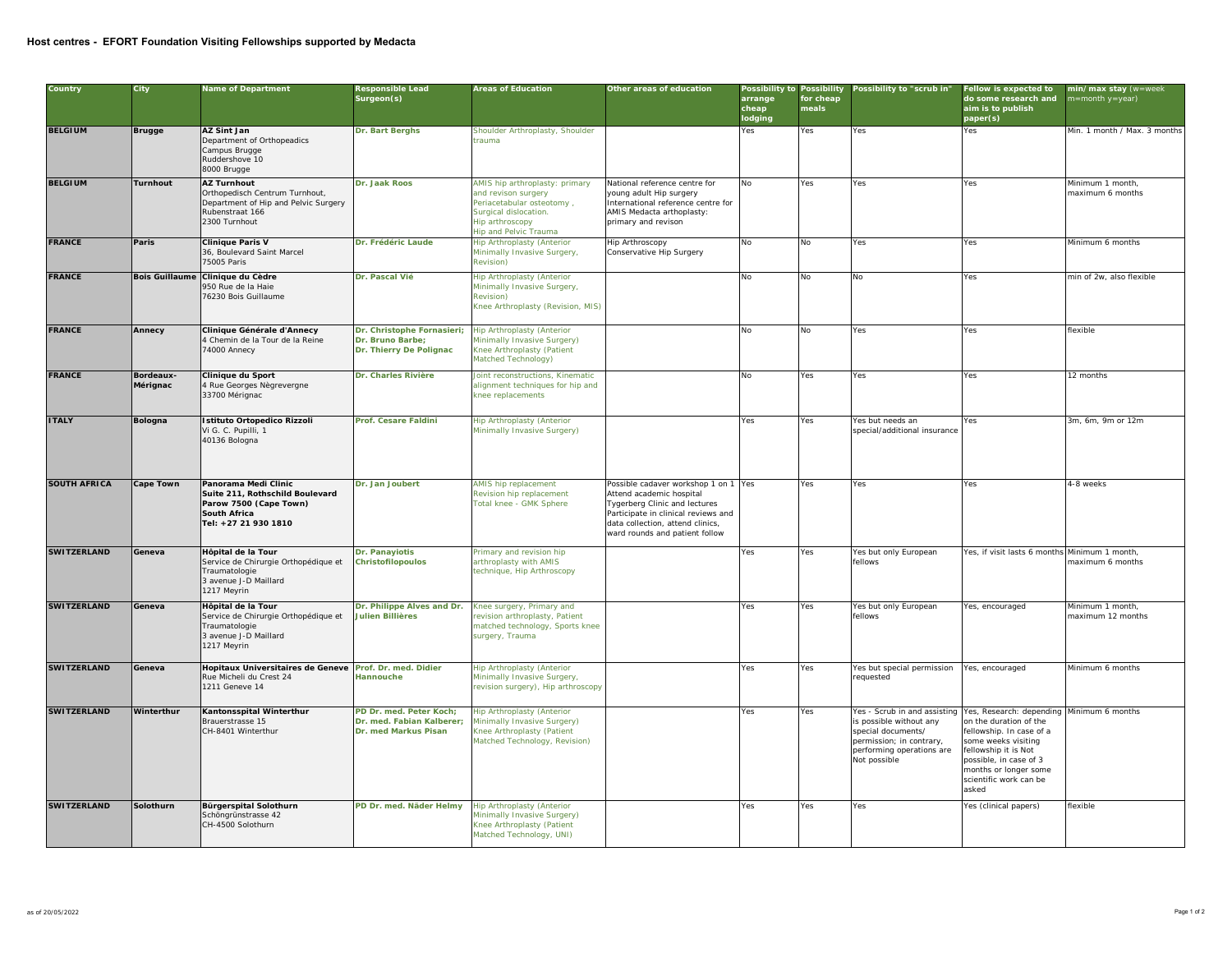## **Host centres - EFORT Foundation Visiting Fellowships supported by Medacta**

| Country             | City                  | Name of Department                                                                                                               | Responsible Lead<br>Surgeon(s)                                               | Areas of Education                                                                                                                                             | Other areas of education                                                                                                                                                                                       | arrange<br>cheap<br>lodging | for cheap<br>meals | Possibility to Possibility Possibility to "scrub in"                                                                                                                                            | Fellow is expected to<br>do some research and<br>aim is to publish<br>paper(s)                                                                                                         | min/max stay (w=week<br>n=month y=year) |
|---------------------|-----------------------|----------------------------------------------------------------------------------------------------------------------------------|------------------------------------------------------------------------------|----------------------------------------------------------------------------------------------------------------------------------------------------------------|----------------------------------------------------------------------------------------------------------------------------------------------------------------------------------------------------------------|-----------------------------|--------------------|-------------------------------------------------------------------------------------------------------------------------------------------------------------------------------------------------|----------------------------------------------------------------------------------------------------------------------------------------------------------------------------------------|-----------------------------------------|
| <b>BELGIUM</b>      | <b>Brugge</b>         | AZ Sint Jan<br>Department of Orthopeadics<br>Campus Brugge<br>Ruddershove 10<br>8000 Brugge                                      | Dr. Bart Berghs                                                              | Shoulder Arthroplasty, Shoulder<br>rauma                                                                                                                       |                                                                                                                                                                                                                | Yes                         | Yes                | Yes                                                                                                                                                                                             | Yes                                                                                                                                                                                    | Min. 1 month / Max. 3 months            |
| <b>BELGIUM</b>      | Turnhout              | <b>AZ Turnhout</b><br>Orthopedisch Centrum Turnhout,<br>Department of Hip and Pelvic Surgery<br>Rubenstraat 166<br>2300 Turnhout | Dr. Jaak Roos                                                                | AMIS hip arthroplasty: primary<br>and revison surgery<br>Periacetabular osteotomy,<br>Surgical dislocation.<br>Hip arthroscopy<br><b>Hip and Pelvic Trauma</b> | National reference centre for<br>young adult Hip surgery<br>International reference centre for<br>AMIS Medacta arthoplasty:<br>primary and revison                                                             | No                          | Yes                | Yes                                                                                                                                                                                             | Yes                                                                                                                                                                                    | Minimum 1 month,<br>maximum 6 months    |
| <b>FRANCE</b>       | Paris                 | Clinique Paris V<br>36, Boulevard Saint Marcel<br>75005 Paris                                                                    | Dr. Frédéric Laude                                                           | <b>Hip Arthroplasty (Anterior</b><br>Minimally Invasive Surgery,<br><b>Revision)</b>                                                                           | Hip Arthroscopy<br>Conservative Hip Surgery                                                                                                                                                                    | No                          | No                 | Yes                                                                                                                                                                                             | Yes                                                                                                                                                                                    | Minimum 6 months                        |
| <b>FRANCE</b>       |                       | Bois Guillaume Clinique du Cèdre<br>950 Rue de la Haie<br>76230 Bois Guillaume                                                   | Dr. Pascal Vié                                                               | Hip Arthroplasty (Anterior<br>Minimally Invasive Surgery,<br>Revision)<br>Knee Arthroplasty (Revision, MIS)                                                    |                                                                                                                                                                                                                | No                          | No                 | <b>No</b>                                                                                                                                                                                       | Yes                                                                                                                                                                                    | min of 2w, also flexible                |
| <b>FRANCE</b>       | Annecy                | Clinique Générale d'Annecy<br>4 Chemin de la Tour de la Reine<br>4000 Annecy                                                     | Dr. Christophe Fornasieri;<br>Dr. Bruno Barbe;<br>Dr. Thierry De Polignac    | Hip Arthroplasty (Anterior<br>Minimally Invasive Surgery)<br><nee (patient<br="" arthroplasty="">Matched Technology)</nee>                                     |                                                                                                                                                                                                                | N <sub>o</sub>              | No                 | Yes                                                                                                                                                                                             | Yes                                                                                                                                                                                    | flexible                                |
| <b>FRANCE</b>       | Bordeaux-<br>Mérignac | Clinique du Sport<br>4 Rue Georges Nègrevergne<br>33700 Mérignac                                                                 | Dr. Charles Rivière                                                          | Joint reconstructions, Kinematic<br>alignment techniques for hip and<br>cnee replacements                                                                      |                                                                                                                                                                                                                | <b>No</b>                   | Yes                | Yes                                                                                                                                                                                             | Yes                                                                                                                                                                                    | 12 months                               |
| <b>ITALY</b>        | Bologna               | Istituto Ortopedico Rizzoli<br>Vi G. C. Pupilli, 1<br>40136 Bologna                                                              | Prof. Cesare Faldini                                                         | <b>Hip Arthroplasty (Anterior</b><br>Minimally Invasive Surgery)                                                                                               |                                                                                                                                                                                                                | Yes                         | Yes                | res but needs an<br>special/additional insurance                                                                                                                                                | Yes                                                                                                                                                                                    | 3m, 6m, 9m or 12m                       |
| <b>SOUTH AFRICA</b> | Cape Town             | Panorama Medi Clinic<br>Suite 211, Rothschild Boulevard<br>Parow 7500 (Cape Town)<br>South Africa<br>Tel: +27 21 930 1810        | Dr. Jan Joubert                                                              | AMIS hip replacement<br>Revision hip replacement<br>Total knee - GMK Sphere                                                                                    | Possible cadaver workshop 1 on 1 Yes<br>Attend academic hospital<br>Tygerberg Clinic and lectures<br>Participate in clinical reviews and<br>data collection, attend clinics,<br>ward rounds and patient follow |                             | Yes                | Yes                                                                                                                                                                                             | Yes                                                                                                                                                                                    | 4-8 weeks                               |
| <b>SWITZERLAND</b>  | Geneva                | Hôpital de la Tour<br>Service de Chirurgie Orthopédique et<br>Traumatologie<br>3 avenue J-D Maillard<br>1217 Meyrin              | Dr. Panayiotis<br>Christofilopoulos                                          | Primary and revision hip<br>arthroplasty with AMIS<br>technique, Hip Arthroscopy                                                                               |                                                                                                                                                                                                                | Yes                         | Yes                | Yes but only European<br>fellows                                                                                                                                                                | Yes, if visit lasts 6 months Minimum 1 month,                                                                                                                                          | maximum 6 months                        |
| <b>SWITZERLAND</b>  | Geneva                | Hôpital de la Tour<br>Service de Chirurgie Orthopédique et<br>Traumatologie<br>3 avenue J-D Maillard<br>1217 Meyrin              | Dr. Philippe Alves and Dr.<br>Julien Billières                               | Knee surgery, Primary and<br>evision arthroplasty, Patient<br>matched technology, Sports knee<br>surgery, Trauma                                               |                                                                                                                                                                                                                | Yes                         | Yes                | Yes but only European<br>fellows                                                                                                                                                                | Yes, encouraged                                                                                                                                                                        | Minimum 1 month,<br>maximum 12 months   |
| <b>SWITZERLAND</b>  | Geneva                | Hopitaux Universitaires de Geneve<br>Rue Micheli du Crest 24<br>1211 Geneve 14                                                   | Prof. Dr. med. Didier<br><b>Hannouche</b>                                    | <b>Hip Arthroplasty (Anterior</b><br>Minimally Invasive Surgery,<br>revision surgery), Hip arthroscopy                                                         |                                                                                                                                                                                                                | Yes                         | Yes                | Yes but special permission Yes, encouraged<br>requested                                                                                                                                         |                                                                                                                                                                                        | Minimum 6 months                        |
| <b>SWITZERLAND</b>  | Winterthur            | Kantonsspital Winterthur<br>Brauerstrasse 15<br>CH-8401 Winterthur                                                               | PD Dr. med. Peter Koch;<br>Dr. med. Fabian Kalberer;<br>Dr. med Markus Pisan | Hip Arthroplasty (Anterior<br><b>Minimally Invasive Surgery)</b><br><nee (patient<br="" arthroplasty="">Matched Technology, Revision)</nee>                    |                                                                                                                                                                                                                | Yes                         | Yes                | Yes - Scrub in and assisting Yes, Research: depending Minimum 6 months<br>s possible without any<br>special documents/<br>permission; in contrary,<br>performing operations are<br>Not possible | on the duration of the<br>fellowship. In case of a<br>some weeks visiting<br>ellowship it is Not<br>possible, in case of 3<br>months or longer some<br>scientific work can be<br>asked |                                         |
| <b>SWITZERLAND</b>  | Solothurn             | Bürgerspital Solothurn<br>Schöngrünstrasse 42<br>CH-4500 Solothurn                                                               | PD Dr. med. Näder Helmy                                                      | <b>Hip Arthroplasty (Anterior</b><br>Minimally Invasive Surgery)<br>Knee Arthroplasty (Patient<br>Matched Technology, UNI)                                     |                                                                                                                                                                                                                | Yes                         | Yes                | Yes                                                                                                                                                                                             | Yes (clinical papers)                                                                                                                                                                  | flexible                                |